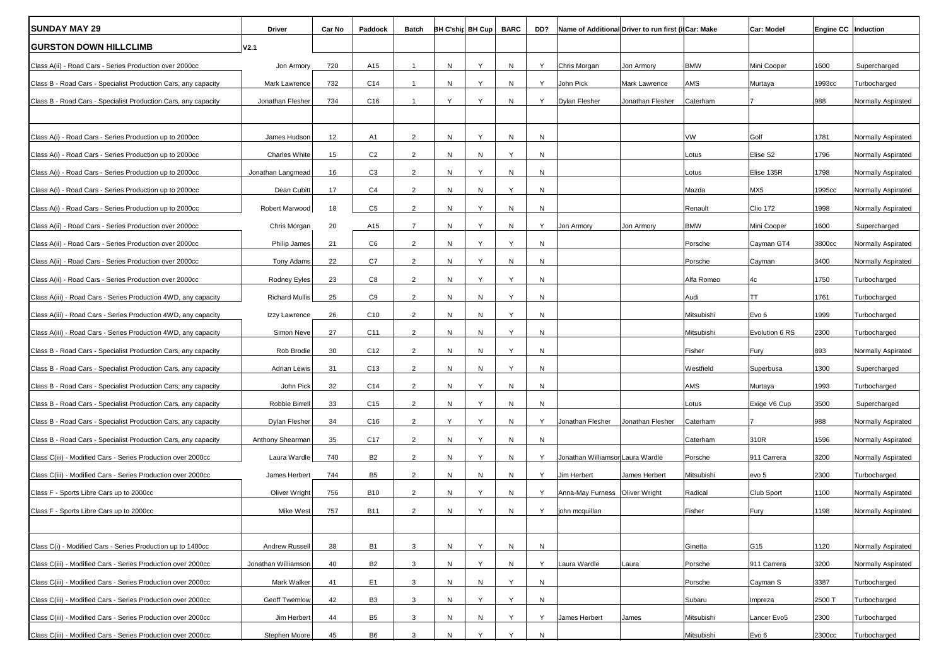| <b>SUNDAY MAY 29</b>                                           | <b>Driver</b>        | Car No | Paddock         | Batch          |   | <b>BH C'ship BH Cup</b> | <b>BARC</b> | DD?       | Name of Additional Driver to run first (if Car: Make |                  |            | Car: Model      | Engine CC   Induction |                    |
|----------------------------------------------------------------|----------------------|--------|-----------------|----------------|---|-------------------------|-------------|-----------|------------------------------------------------------|------------------|------------|-----------------|-----------------------|--------------------|
| <b>GURSTON DOWN HILLCLIMB</b>                                  | V <sub>2.1</sub>     |        |                 |                |   |                         |             |           |                                                      |                  |            |                 |                       |                    |
| Class A(ii) - Road Cars - Series Production over 2000cc        | Jon Armory           | 720    | A15             | $\mathbf{1}$   | N | Y                       | N           | Y         | Chris Morgan                                         | Jon Armory       | <b>BMW</b> | Mini Cooper     | 1600                  | Supercharged       |
| Class B - Road Cars - Specialist Production Cars, any capacity | Mark Lawrence        | 732    | C14             | $\mathbf{1}$   | N | Υ                       | N           | Y         | John Pick                                            | Mark Lawrence    | AMS        | Murtaya         | 1993cc                | Turbocharged       |
| Class B - Road Cars - Specialist Production Cars, any capacity | Jonathan Flesher     | 734    | C16             | $\overline{1}$ | Y | Y                       | N           | Y         | <b>Dylan Flesher</b>                                 | Jonathan Flesher | Caterham   |                 | 988                   | Normally Aspirated |
|                                                                |                      |        |                 |                |   |                         |             |           |                                                      |                  |            |                 |                       |                    |
| Class A(i) - Road Cars - Series Production up to 2000cc        | James Hudson         | 12     | A1              | $\overline{2}$ | N | Y                       | N           | N         |                                                      |                  | VW         | Golf            | 1781                  | Normally Aspirated |
| Class A(i) - Road Cars - Series Production up to 2000cc        | <b>Charles White</b> | 15     | C <sub>2</sub>  | $\overline{2}$ | N | N                       | Y           | N         |                                                      |                  | Lotus      | Elise S2        | 1796                  | Normally Aspirated |
| Class A(i) - Road Cars - Series Production up to 2000cc        | Jonathan Langmead    | 16     | C <sub>3</sub>  | $\overline{2}$ | N | Y                       | N           | N         |                                                      |                  | Lotus      | Elise 135R      | 1798                  | Normally Aspirated |
| Class A(i) - Road Cars - Series Production up to 2000cc        | Dean Cubitt          | 17     | C4              | $\overline{2}$ | N | N                       | Υ           | N         |                                                      |                  | Mazda      | MX5             | 1995cc                | Normally Aspirated |
| Class A(i) - Road Cars - Series Production up to 2000cc        | Robert Marwood       | 18     | C5              | $\overline{2}$ | N | Υ                       | N           | N         |                                                      |                  | Renault    | <b>Clio 172</b> | 1998                  | Normally Aspirated |
| Class A(ii) - Road Cars - Series Production over 2000cc        | Chris Morgan         | 20     | A15             | $\overline{7}$ | N | Y                       | N           | Y         | Jon Armory                                           | Jon Armory       | <b>BMW</b> | Mini Cooper     | 1600                  | Supercharged       |
| Class A(ii) - Road Cars - Series Production over 2000cc        | Philip James         | 21     | C6              | $\overline{2}$ | N | Y                       | Υ           | N         |                                                      |                  | Porsche    | Cayman GT4      | 3800cc                | Normally Aspirated |
| Class A(ii) - Road Cars - Series Production over 2000cc        | Tony Adams           | 22     | C7              | $\overline{2}$ | N | Y                       | N           | N         |                                                      |                  | Porsche    | Cayman          | 3400                  | Normally Aspirated |
| Class A(ii) - Road Cars - Series Production over 2000cc        | Rodney Eyles         | 23     | C8              | $\overline{2}$ | N | Υ                       | Υ           | N         |                                                      |                  | Alfa Romeo | 4c              | 1750                  | Turbocharged       |
| Class A(iii) - Road Cars - Series Production 4WD, any capacity | Richard Mullis       | 25     | C9              | $\overline{2}$ | N | N                       | Υ           | N         |                                                      |                  | Audi       | ltt.            | 1761                  | Turbocharged       |
| Class A(iii) - Road Cars - Series Production 4WD, any capacity | Izzy Lawrence        | 26     | C <sub>10</sub> | $\overline{2}$ | N | N                       | Y           | N         |                                                      |                  | Mitsubishi | Evo 6           | 1999                  | Turbocharged       |
| Class A(iii) - Road Cars - Series Production 4WD, any capacity | Simon Neve           | 27     | C11             | $\overline{2}$ | N | N                       | Υ           | N         |                                                      |                  | Mitsubishi | Evolution 6 RS  | 2300                  | Turbocharged       |
| Class B - Road Cars - Specialist Production Cars, any capacity | Rob Brodie           | 30     | C12             | $\overline{2}$ | N | N                       | Υ           | N         |                                                      |                  | Fisher     | Fury            | 893                   | Normally Aspirated |
| Class B - Road Cars - Specialist Production Cars, any capacity | <b>Adrian Lewis</b>  | 31     | C <sub>13</sub> | $\overline{2}$ | N | N                       | Y           | N         |                                                      |                  | Westfield  | Superbusa       | 1300                  | Supercharged       |
| Class B - Road Cars - Specialist Production Cars, any capacity | John Pick            | 32     | C14             | $\overline{2}$ | N | Y                       | N           | N         |                                                      |                  | AMS        | Murtaya         | 1993                  | Turbocharged       |
| Class B - Road Cars - Specialist Production Cars, any capacity | Robbie Birrell       | 33     | C <sub>15</sub> | $\overline{2}$ | N | Y                       | N           | N         |                                                      |                  | Lotus      | Exige V6 Cup    | 3500                  | Supercharged       |
| Class B - Road Cars - Specialist Production Cars, any capacity | Dylan Flesher        | 34     | C <sub>16</sub> | $\overline{2}$ | Y | Y                       | N           | Y         | Jonathan Flesher                                     | Jonathan Flesher | Caterham   |                 | 988                   | Normally Aspirated |
| Class B - Road Cars - Specialist Production Cars, any capacity | Anthony Shearman     | 35     | C17             | $\overline{2}$ | N | Y                       | N           | ${\sf N}$ |                                                      |                  | Caterham   | 310R            | 1596                  | Normally Aspirated |
| Class C(iii) - Modified Cars - Series Production over 2000cc   | Laura Wardle         | 740    | B <sub>2</sub>  | $\overline{2}$ | N | Y                       | N           | Y         | Jonathan Williamsor Laura Wardle                     |                  | Porsche    | 911 Carrera     | 3200                  | Normally Aspirated |
| Class C(iii) - Modified Cars - Series Production over 2000cc   | James Herbert        | 744    | B <sub>5</sub>  | $\overline{2}$ | N | N                       | N           | Y         | Jim Herbert                                          | James Herbert    | Mitsubishi | evo 5           | 2300                  | Turbocharged       |
| Class F - Sports Libre Cars up to 2000cc                       | Oliver Wright        | 756    | <b>B10</b>      | $\overline{2}$ | N | Y                       | N           | Y         | Anna-May Furness   Oliver Wright                     |                  | Radical    | Club Sport      | 1100                  | Normally Aspirated |
| Class F - Sports Libre Cars up to 2000cc                       | Mike West            | 757    | <b>B11</b>      | $\overline{2}$ | N | Υ                       | N           | Y         | john mcquillan                                       |                  | Fisher     | Fury            | 1198                  | Normally Aspirated |
|                                                                |                      |        |                 |                |   |                         |             |           |                                                      |                  |            |                 |                       |                    |
| Class C(i) - Modified Cars - Series Production up to 1400cc    | Andrew Russell       | 38     | <b>B1</b>       | $\mathbf{3}$   | N | Y                       | ${\sf N}$   | N         |                                                      |                  | Ginetta    | G15             | 1120                  | Normally Aspirated |
| Class C(iii) - Modified Cars - Series Production over 2000cc   | Jonathan Williamson  | 40     | <b>B2</b>       | 3              | N | Y                       | N           | Y         | Laura Wardle                                         | Laura            | Porsche    | 911 Carrera     | 3200                  | Normally Aspirated |
| Class C(iii) - Modified Cars - Series Production over 2000cc   | Mark Walker          | 41     | E1              | 3              | N | N                       | Υ           | N         |                                                      |                  | Porsche    | Cayman S        | 3387                  | Turbocharged       |
| Class C(iii) - Modified Cars - Series Production over 2000cc   | Geoff Twemlow        | 42     | B <sub>3</sub>  | 3              | N | Y                       | Υ           | N         |                                                      |                  | Subaru     | Impreza         | 2500 T                | Turbocharged       |
| Class C(iii) - Modified Cars - Series Production over 2000cc   | Jim Herbert          | 44     | B <sub>5</sub>  | 3              | N | N                       | Y           | Y         | James Herbert                                        | James            | Mitsubishi | Lancer Evo5     | 2300                  | Turbocharged       |
| Class C(iii) - Modified Cars - Series Production over 2000cc   | Stephen Moore        | 45     | <b>B6</b>       | 3              | N | Y                       | Y           | N         |                                                      |                  | Mitsubishi | Evo 6           | 2300cc                | Turbocharged       |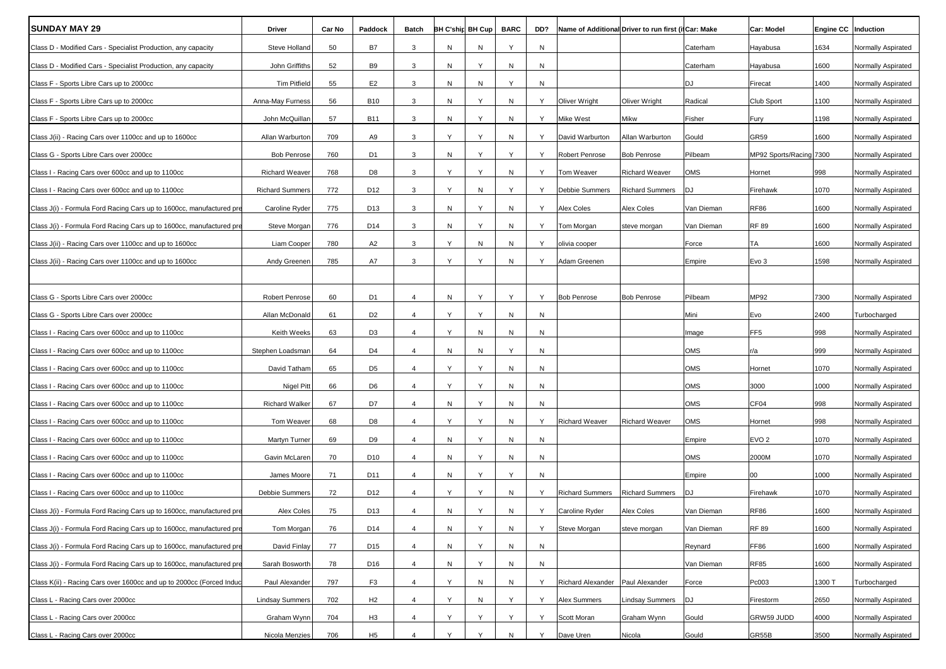| <b>SUNDAY MAY 29</b>                                                 | Driver                 | Car No | Paddock         | Batch          |           | BH C'ship BH Cup | <b>BARC</b> | DD?          | Name of Additional Driver to run first (if Car: Make |                        |            | Car: Model              | Engine CC   Induction |                    |
|----------------------------------------------------------------------|------------------------|--------|-----------------|----------------|-----------|------------------|-------------|--------------|------------------------------------------------------|------------------------|------------|-------------------------|-----------------------|--------------------|
| Class D - Modified Cars - Specialist Production, any capacity        | Steve Holland          | 50     | <b>B7</b>       | 3              | N         | N                | Y           | N            |                                                      |                        | Caterham   | Hayabusa                | 1634                  | Normally Aspirated |
| Class D - Modified Cars - Specialist Production, any capacity        | John Griffiths         | 52     | B9              | 3              | N         | Υ                | N           | N            |                                                      |                        | Caterham   | Hayabusa                | 1600                  | Normally Aspirated |
| Class F - Sports Libre Cars up to 2000cc                             | <b>Tim Pitfield</b>    | 55     | E <sub>2</sub>  | 3              | N         | N                | Υ           | N            |                                                      |                        | DJ         | Firecat                 | 1400                  | Normally Aspirated |
| Class F - Sports Libre Cars up to 2000cc                             | Anna-May Furness       | 56     | <b>B10</b>      | 3              | N         | Y                | N           | Y            | Oliver Wright                                        | Oliver Wright          | Radical    | Club Sport              | 1100                  | Normally Aspirated |
| Class F - Sports Libre Cars up to 2000cc                             | John McQuillan         | 57     | <b>B11</b>      | 3              | N         | Y                | N           | Y            | Mike West                                            | Mikw                   | Fisher     | Fury                    | 1198                  | Normally Aspirated |
| Class J(ii) - Racing Cars over 1100cc and up to 1600cc               | Allan Warburton        | 709    | A9              | 3              | Y         | Y                | N           | Y            | David Warburton                                      | Allan Warburton        | Gould      | <b>GR59</b>             | 1600                  | Normally Aspirated |
| Class G - Sports Libre Cars over 2000cc                              | <b>Bob Penrose</b>     | 760    | D <sub>1</sub>  | 3              | N         | Y                | Y           | Y            | <b>Robert Penrose</b>                                | <b>Bob Penrose</b>     | Pilbeam    | MP92 Sports/Racing 7300 |                       | Normally Aspirated |
| Class I - Racing Cars over 600cc and up to 1100cc                    | <b>Richard Weaver</b>  | 768    | D <sub>8</sub>  | 3              | Y         | Y                | N           | Y            | Tom Weaver                                           | <b>Richard Weaver</b>  | OMS        | Hornet                  | 998                   | Normally Aspirated |
| Class I - Racing Cars over 600cc and up to 1100cc                    | <b>Richard Summers</b> | 772    | D12             | 3              | Y         | N                | Υ           | Y            | Debbie Summers                                       | <b>Richard Summers</b> | DJ         | Firehawk                | 1070                  | Normally Aspirated |
| Class J(i) - Formula Ford Racing Cars up to 1600cc, manufactured pre | Caroline Ryder         | 775    | D <sub>13</sub> | 3              | N         | Y                | N           | Y            | Alex Coles                                           | <b>Alex Coles</b>      | Van Dieman | <b>RF86</b>             | 1600                  | Normally Aspirated |
| Class J(i) - Formula Ford Racing Cars up to 1600cc, manufactured pre | Steve Morgan           | 776    | D14             | 3              | N         | Υ                | N           | Y            | Tom Morgan                                           | steve morgan           | Van Dieman | <b>RF 89</b>            | 1600                  | Normally Aspirated |
| Class J(ii) - Racing Cars over 1100cc and up to 1600cc               | Liam Cooper            | 780    | A2              | 3              | Y         | N                | N           | Y            | olivia cooper                                        |                        | Force      | TA                      | 1600                  | Normally Aspirated |
| Class J(ii) - Racing Cars over 1100cc and up to 1600cc               | Andy Greenen           | 785    | A7              | 3              | Y         | Y                | N           | Υ            | Adam Greenen                                         |                        | Empire     | Evo 3                   | 1598                  | Normally Aspirated |
|                                                                      |                        |        |                 |                |           |                  |             |              |                                                      |                        |            |                         |                       |                    |
| Class G - Sports Libre Cars over 2000cc                              | <b>Robert Penrose</b>  | 60     | D <sub>1</sub>  | $\overline{4}$ | N         | Y                | Y           | Y            | <b>Bob Penrose</b>                                   | <b>Bob Penrose</b>     | Pilbeam    | MP92                    | 7300                  | Normally Aspirated |
| Class G - Sports Libre Cars over 2000cc                              | Allan McDonald         | 61     | D <sub>2</sub>  | $\overline{4}$ | Y         | Y                | N           | N            |                                                      |                        | Mini       | Evo                     | 2400                  | Turbocharged       |
| Class I - Racing Cars over 600cc and up to 1100cc                    | Keith Weeks            | 63     | D <sub>3</sub>  | $\overline{4}$ | Y         | N                | N           | N            |                                                      |                        | Image      | FF <sub>5</sub>         | 998                   | Normally Aspirated |
| Class I - Racing Cars over 600cc and up to 1100cc                    | Stephen Loadsman       | 64     | D <sub>4</sub>  | $\overline{4}$ | N         | N                | Y           | N            |                                                      |                        | <b>OMS</b> | r/a                     | 999                   | Normally Aspirated |
| Class I - Racing Cars over 600cc and up to 1100cc                    | David Tatham           | 65     | D <sub>5</sub>  | $\overline{4}$ | Y         | Y                | N           | N            |                                                      |                        | OMS        | Hornet                  | 1070                  | Normally Aspirated |
| Class I - Racing Cars over 600cc and up to 1100cc                    | <b>Nigel Pitt</b>      | 66     | D <sub>6</sub>  | $\overline{4}$ | Y         | Y                | N           | N            |                                                      |                        | OMS        | 3000                    | 1000                  | Normally Aspirated |
| Class I - Racing Cars over 600cc and up to 1100cc                    | <b>Richard Walker</b>  | 67     | D7              | $\overline{4}$ | N         | Υ                | N           | N            |                                                      |                        | OMS        | CF04                    | 998                   | Normally Aspirated |
| Class I - Racing Cars over 600cc and up to 1100cc                    | Tom Weaver             | 68     | D <sub>8</sub>  | $\overline{4}$ | Y         | Υ                | N           | Y            | Richard Weaver                                       | <b>Richard Weaver</b>  | OMS        | Hornet                  | 998                   | Normally Aspirated |
| Class I - Racing Cars over 600cc and up to 1100cc                    | Martyn Turner          | 69     | D <sub>9</sub>  | 4              | N         | Y                | N           | N            |                                                      |                        | Empire     | EVO <sub>2</sub>        | 1070                  | Normally Aspirated |
| Class I - Racing Cars over 600cc and up to 1100cc                    | Gavin McLaren          | 70     | D <sub>10</sub> | $\overline{4}$ | N         | Y                | N           | N            |                                                      |                        | OMS        | 2000M                   | 1070                  | Normally Aspirated |
| Class I - Racing Cars over 600cc and up to 1100cc                    | James Moore            | 71     | D11             | $\overline{4}$ | N         | Υ                | Y           | N            |                                                      |                        | Empire     | $00\,$                  | 1000                  | Normally Aspirated |
| Class I - Racing Cars over 600cc and up to 1100cc                    | Debbie Summers         | 72     | D12             | $\overline{4}$ | Y         | Y                | N           | Y            | <b>Richard Summers</b>                               | <b>Richard Summers</b> | DJ         | Firehawk                | 1070                  | Normally Aspirated |
| Class J(i) - Formula Ford Racing Cars up to 1600cc, manufactured pre | Alex Coles             | 75     | D13             | $\overline{4}$ | N         | Y                | N           | Y            | Caroline Ryder                                       | <b>Alex Coles</b>      | Van Dieman | RF86                    | 1600                  | Normally Aspirated |
| Class J(i) - Formula Ford Racing Cars up to 1600cc, manufactured pre | Tom Morgan             | 76     | D14             | $\overline{4}$ | ${\sf N}$ | Y                | ${\sf N}$   | Y            | Steve Morgan                                         | steve morgan           | Van Dieman | <b>RF 89</b>            | 1600                  | Normally Aspirated |
| Class J(i) - Formula Ford Racing Cars up to 1600cc, manufactured pre | David Finlay           | 77     | D15             | $\overline{4}$ | ${\sf N}$ | Y                | ${\sf N}$   | $\mathsf{N}$ |                                                      |                        | Reynard    | FF86                    | 1600                  | Normally Aspirated |
| Class J(i) - Formula Ford Racing Cars up to 1600cc, manufactured pre | Sarah Bosworth         | 78     | D16             | $\overline{4}$ | N         | Υ                | N           | N            |                                                      |                        | Van Dieman | <b>RF85</b>             | 1600                  | Normally Aspirated |
| Class K(ii) - Racing Cars over 1600cc and up to 2000cc (Forced Induc | Paul Alexander         | 797    | F <sub>3</sub>  | $\overline{4}$ | Y         | N                | N           | Y            | <b>Richard Alexander</b>                             | Paul Alexander         | Force      | Pc003                   | 1300 T                | Turbocharged       |
| Class L - Racing Cars over 2000cc                                    | <b>Lindsay Summers</b> | 702    | H2              | $\overline{4}$ | Y         | N                | Y           | Y            | Alex Summers                                         | <b>Lindsay Summers</b> | DJ         | Firestorm               | 2650                  | Normally Aspirated |
| Class L - Racing Cars over 2000cc                                    | Graham Wynn            | 704    | H <sub>3</sub>  | $\overline{4}$ | Y         | Y                | Υ           | Υ            | Scott Moran                                          | Graham Wynn            | Gould      | GRW59 JUDD              | 4000                  | Normally Aspirated |
| Class L - Racing Cars over 2000cc                                    | Nicola Menzies         | 706    | H <sub>5</sub>  | $\overline{4}$ | Y         | Y                | ${\sf N}$   | Y            | Dave Uren                                            | Nicola                 | Gould      | GR55B                   | 3500                  | Normally Aspirated |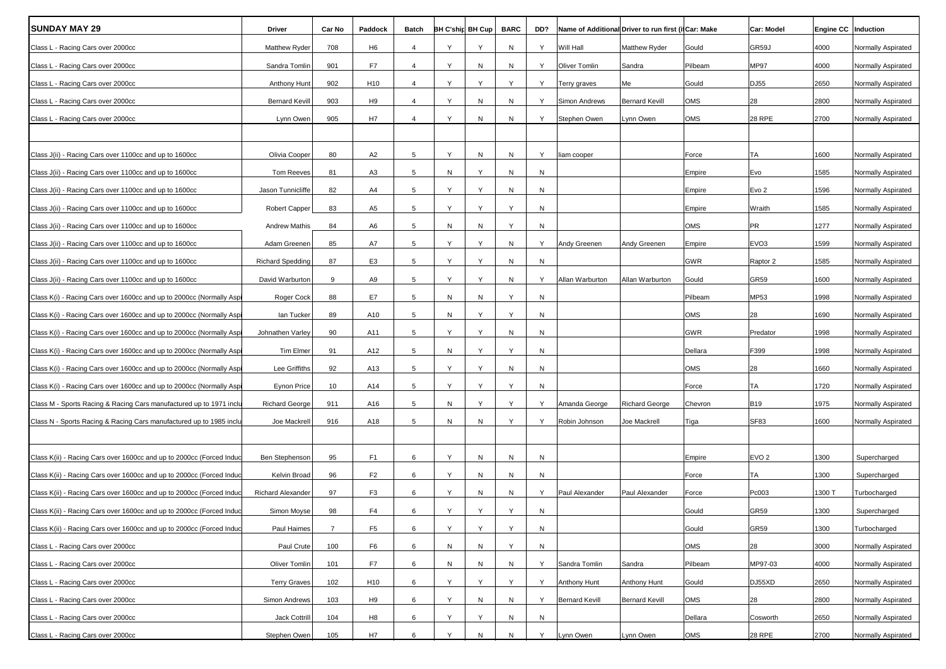| <b>SUNDAY MAY 29</b>                                                 | Driver                   | Car No         | Paddock         | Batch          |   | <b>BH C'ship BH Cup</b> | <b>BARC</b> | DD?       | Name of Additional Driver to run first (if Car: Make |                       |            | Car: Model       | Engine CC   Induction |                    |
|----------------------------------------------------------------------|--------------------------|----------------|-----------------|----------------|---|-------------------------|-------------|-----------|------------------------------------------------------|-----------------------|------------|------------------|-----------------------|--------------------|
| Class L - Racing Cars over 2000cc                                    | Matthew Ryder            | 708            | H <sub>6</sub>  | $\overline{4}$ | Y | Υ                       | N           | Y         | Will Hall                                            | Matthew Ryder         | Gould      | GR59J            | 4000                  | Normally Aspirated |
| Class L - Racing Cars over 2000cc                                    | Sandra Tomlin            | 901            | F7              | $\overline{4}$ | Y | N                       | N           | Y         | <b>Oliver Tomlin</b>                                 | Sandra                | Pilbeam    | <b>MP97</b>      | 4000                  | Normally Aspirated |
| Class L - Racing Cars over 2000cc                                    | Anthony Hunt             | 902            | H <sub>10</sub> | $\overline{4}$ | Y | Y                       | Y           | Y         | Terry graves                                         | Me                    | Gould      | DJ55             | 2650                  | Normally Aspirated |
| Class L - Racing Cars over 2000cc                                    | <b>Bernard Kevill</b>    | 903            | H <sub>9</sub>  | $\overline{4}$ | Y | N                       | N           | Y         | Simon Andrews                                        | <b>Bernard Kevill</b> | OMS        | 28               | 2800                  | Normally Aspirated |
| Class L - Racing Cars over 2000cc                                    | Lynn Owen                | 905            | H7              | $\overline{4}$ | Y | N                       | N           | Y         | Stephen Owen                                         | Lynn Owen             | OMS        | <b>28 RPE</b>    | 2700                  | Normally Aspirated |
|                                                                      |                          |                |                 |                |   |                         |             |           |                                                      |                       |            |                  |                       |                    |
| Class J(ii) - Racing Cars over 1100cc and up to 1600cc               | Olivia Cooper            | 80             | A <sub>2</sub>  | 5              | Y | N                       | N           | Y         | liam cooper                                          |                       | Force      | ТA               | 1600                  | Normally Aspirated |
| Class J(ii) - Racing Cars over 1100cc and up to 1600cc               | <b>Tom Reeves</b>        | 81             | A3              | 5              | Ν | Y                       | N           | N         |                                                      |                       | Empire     | Evo              | 1585                  | Normally Aspirated |
| Class J(ii) - Racing Cars over 1100cc and up to 1600cc               | Jason Tunnicliffe        | 82             | A4              | 5              | Y | Y                       | N           | N         |                                                      |                       | Empire     | Evo <sub>2</sub> | 1596                  | Normally Aspirated |
| Class J(ii) - Racing Cars over 1100cc and up to 1600cc               | Robert Capper            | 83             | A5              | 5              | Y | Υ                       | Y           | N         |                                                      |                       | Empire     | Wraith           | 1585                  | Normally Aspirated |
| Class J(ii) - Racing Cars over 1100cc and up to 1600cc               | <b>Andrew Mathis</b>     | 84             | A6              | 5              | N | N                       | Y           | N         |                                                      |                       | OMS        | PR               | 1277                  | Normally Aspirated |
| Class J(ii) - Racing Cars over 1100cc and up to 1600cc               | Adam Greenen             | 85             | A7              | 5              | Y | Υ                       | N           | Y         | Andy Greenen                                         | Andy Greenen          | Empire     | EVO <sub>3</sub> | 1599                  | Normally Aspirated |
| Class J(ii) - Racing Cars over 1100cc and up to 1600cc               | <b>Richard Spedding</b>  | 87             | E <sub>3</sub>  | 5              | Y | Y                       | N           | N         |                                                      |                       | <b>GWR</b> | Raptor 2         | 1585                  | Normally Aspirated |
| Class J(ii) - Racing Cars over 1100cc and up to 1600cc               | David Warburton          | 9              | A9              | 5              | Y | Υ                       | N           | Y         | Allan Warburton                                      | Allan Warburton       | Gould      | <b>GR59</b>      | 1600                  | Normally Aspirated |
| Class K(i) - Racing Cars over 1600cc and up to 2000cc (Normally Asp) | Roger Cock               | 88             | E7              | 5              | N | N                       | Υ           | N         |                                                      |                       | Pilbeam    | MP53             | 1998                  | Normally Aspirated |
| Class K(i) - Racing Cars over 1600cc and up to 2000cc (Normally Asp  | lan Tucker               | 89             | A10             | 5              | Ν | Y                       | Y           | N         |                                                      |                       | OMS        | 28               | 1690                  | Normally Aspirated |
| Class K(i) - Racing Cars over 1600cc and up to 2000cc (Normally Asp  | Johnathen Varley         | 90             | A11             | 5              | Y | Y                       | N           | N         |                                                      |                       | GWR        | Predator         | 1998                  | Normally Aspirated |
| Class K(i) - Racing Cars over 1600cc and up to 2000cc (Normally Asp  | Tim Elmer                | 91             | A12             | 5              | N | Y                       | Y           | N         |                                                      |                       | Dellara    | F399             | 1998                  | Normally Aspirated |
| Class K(i) - Racing Cars over 1600cc and up to 2000cc (Normally Asp  | Lee Griffiths            | 92             | A13             | 5              | Y | Y                       | N           | N         |                                                      |                       | OMS        | 28               | 1660                  | Normally Aspirated |
| Class K(i) - Racing Cars over 1600cc and up to 2000cc (Normally Asp  | <b>Eynon Price</b>       | 10             | A14             | 5              | Y | Y                       | Y           | N         |                                                      |                       | Force      | <b>TA</b>        | 1720                  | Normally Aspirated |
| Class M - Sports Racing & Racing Cars manufactured up to 1971 inclu  | <b>Richard George</b>    | 911            | A16             | 5              | N | Υ                       | Y           | Y         | Amanda George                                        | <b>Richard George</b> | Chevron    | <b>B19</b>       | 1975                  | Normally Aspirated |
| Class N - Sports Racing & Racing Cars manufactured up to 1985 inclu  | Joe Mackrell             | 916            | A18             | 5              | N | N                       | Y           | Y         | Robin Johnson                                        | Joe Mackrell          | Tiga       | <b>SF83</b>      | 1600                  | Normally Aspirated |
|                                                                      |                          |                |                 |                |   |                         |             |           |                                                      |                       |            |                  |                       |                    |
| Class K(ii) - Racing Cars over 1600cc and up to 2000cc (Forced Induc | Ben Stephenson           | 95             | F1              | 6              | Y | N                       | N           | N         |                                                      |                       | Empire     | EVO <sub>2</sub> | 1300                  | Supercharged       |
| Class K(ii) - Racing Cars over 1600cc and up to 2000cc (Forced Induc | Kelvin Broad             | 96             | F <sub>2</sub>  | 6              | Y | N                       | N           | N         |                                                      |                       | Force      | TA               | 1300                  | Supercharged       |
| Class K(ii) - Racing Cars over 1600cc and up to 2000cc (Forced Induc | <b>Richard Alexander</b> | 97             | F <sub>3</sub>  | 6              | Y | N                       | N           | Y         | Paul Alexander                                       | Paul Alexander        | Force      | Pc003            | 1300 T                | Turbocharged       |
| Class K(ii) - Racing Cars over 1600cc and up to 2000cc (Forced Induc | Simon Moyse              | 98             | F4              | 6              | Y | Y                       | Y           | N         |                                                      |                       | Gould      | <b>GR59</b>      | 1300                  | Supercharged       |
| Class K(ii) - Racing Cars over 1600cc and up to 2000cc (Forced Induc | Paul Haimes              | $\overline{7}$ | F <sub>5</sub>  | 6              | Y | Y                       | Y           | ${\sf N}$ |                                                      |                       | Gould      | GR59             | 1300                  | Turbocharged       |
| Class L - Racing Cars over 2000cc                                    | Paul Crute               | 100            | F6              | 6              | N | N                       | Υ           | N         |                                                      |                       | OMS        | 28               | 3000                  | Normally Aspirated |
| Class L - Racing Cars over 2000cc                                    | Oliver Tomlin            | 101            | F7              | 6              | N | N                       | N           | Y         | Sandra Tomlin                                        | Sandra                | Pilbeam    | MP97-03          | 4000                  | Normally Aspirated |
| Class L - Racing Cars over 2000cc                                    | <b>Terry Graves</b>      | 102            | H <sub>10</sub> | 6              | Υ | Υ                       | Y           | Y         | <b>Anthony Hunt</b>                                  | Anthony Hunt          | Gould      | DJ55XD           | 2650                  | Normally Aspirated |
| Class L - Racing Cars over 2000cc                                    | Simon Andrews            | 103            | H <sub>9</sub>  | 6              | Y | N                       | N           | Y         | <b>Bernard Kevill</b>                                | <b>Bernard Kevill</b> | OMS        | 28               | 2800                  | Normally Aspirated |
| Class L - Racing Cars over 2000cc                                    | Jack Cottrill            | 104            | H8              | 6              | Y | Y                       | N           | N         |                                                      |                       | Dellara    | Cosworth         | 2650                  | Normally Aspirated |
| Class L - Racing Cars over 2000cc                                    | Stephen Owen             | 105            | H7              | 6              | Y | N                       | N           | Y         | Lynn Owen                                            | Lynn Owen             | <b>OMS</b> | 28 RPE           | 2700                  | Normally Aspirated |